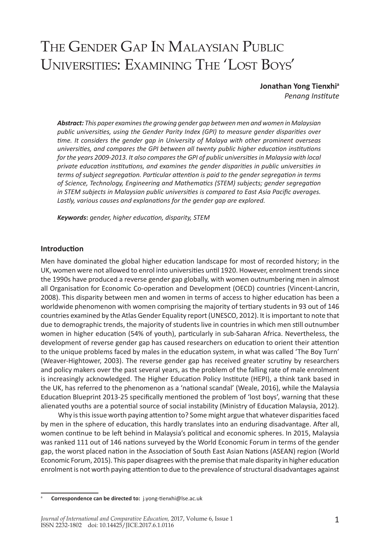# The Gender Gap In Malaysian Public Universities: Examining The 'Lost Boys'

 **Jonathan Yong Tienxhia**  *Penang Institute*

*Abstract: This paper examines the growing gender gap between men and women in Malaysian public universities, using the Gender Parity Index (GPI) to measure gender disparities over time. It considers the gender gap in University of Malaya with other prominent overseas universities, and compares the GPI between all twenty public higher education institutions*  for the years 2009-2013. It also compares the GPI of public universities in Malaysia with local *private education institutions, and examines the gender disparities in public universities in terms of subject segregation. Particular attention is paid to the gender segregation in terms of Science, Technology, Engineering and Mathematics (STEM) subjects; gender segregation in STEM subjects in Malaysian public universities is compared to East Asia Pacific averages. Lastly, various causes and explanations for the gender gap are explored.*

*Keywords***:** *gender, higher education, disparity, STEM* 

#### **Introduction**

Men have dominated the global higher education landscape for most of recorded history; in the UK, women were not allowed to enrol into universities until 1920. However, enrolment trends since the 1990s have produced a reverse gender gap globally, with women outnumbering men in almost all Organisation for Economic Co-operation and Development (OECD) countries (Vincent-Lancrin, 2008). This disparity between men and women in terms of access to higher education has been a worldwide phenomenon with women comprising the majority of tertiary students in 93 out of 146 countries examined by the Atlas Gender Equality report (UNESCO, 2012). It is important to note that due to demographic trends, the majority of students live in countries in which men still outnumber women in higher education (54% of youth), particularly in sub-Saharan Africa. Nevertheless, the development of reverse gender gap has caused researchers on education to orient their attention to the unique problems faced by males in the education system, in what was called 'The Boy Turn' (Weaver-Hightower, 2003). The reverse gender gap has received greater scrutiny by researchers and policy makers over the past several years, as the problem of the falling rate of male enrolment is increasingly acknowledged. The Higher Education Policy Institute (HEPI), a think tank based in the UK, has referred to the phenomenon as a 'national scandal' (Weale, 2016), while the Malaysia Education Blueprint 2013-25 specifically mentioned the problem of 'lost boys', warning that these alienated youths are a potential source of social instability (Ministry of Education Malaysia, 2012).

Why is this issue worth paying attention to? Some might argue that whatever disparities faced by men in the sphere of education, this hardly translates into an enduring disadvantage. After all, women continue to be left behind in Malaysia's political and economic spheres. In 2015, Malaysia was ranked 111 out of 146 nations surveyed by the World Economic Forum in terms of the gender gap, the worst placed nation in the Association of South East Asian Nations (ASEAN) region (World Economic Forum, 2015). This paper disagrees with the premise that male disparity in higher education enrolment is not worth paying attention to due to the prevalence of structural disadvantages against

<sup>a</sup> **Correspondence can be directed to:** j.yong-tienxhi@lse.ac.uk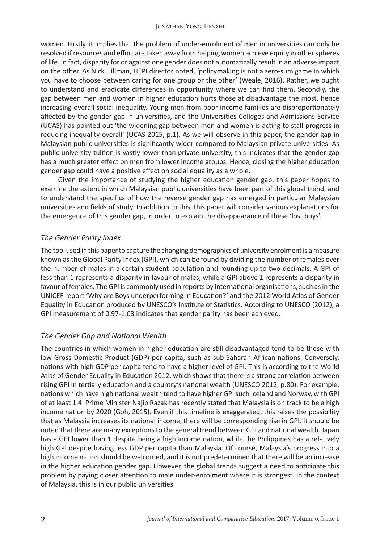women. Firstly, it implies that the problem of under-enrolment of men in universities can only be resolved if resources and effort are taken away from helping women achieve equity in other spheres of life. In fact, disparity for or against one gender does not automatically result in an adverse impact on the other. As Nick Hillman, HEPI director noted, 'policymaking is not a zero-sum game in which you have to choose between caring for one group or the other' (Weale, 2016). Rather, we ought to understand and eradicate differences in opportunity where we can find them. Secondly, the gap between men and women in higher education hurts those at disadvantage the most, hence increasing overall social inequality. Young men from poor income families are disproportionately affected by the gender gap in universities, and the Universities Colleges and Admissions Service (UCAS) has pointed out 'the widening gap between men and women is acting to stall progress in reducing inequality overall' (UCAS 2015, p.1). As we will observe in this paper, the gender gap in Malaysian public universities is significantly wider compared to Malaysian private universities. As public university tuition is vastly lower than private university, this indicates that the gender gap has a much greater effect on men from lower income groups. Hence, closing the higher education gender gap could have a positive effect on social equality as a whole.

Given the importance of studying the higher education gender gap, this paper hopes to examine the extent in which Malaysian public universities have been part of this global trend, and to understand the specifics of how the reverse gender gap has emerged in particular Malaysian universities and fields of study. In addition to this, this paper will consider various explanations for the emergence of this gender gap, in order to explain the disappearance of these 'lost boys'.

## *The Gender Parity Index*

The tool used in this paper to capture the changing demographics of university enrolment is a measure known as the Global Parity Index (GPI), which can be found by dividing the number of females over the number of males in a certain student population and rounding up to two decimals. A GPI of less than 1 represents a disparity in favour of males, while a GPI above 1 represents a disparity in favour of females. The GPI is commonly used in reports by international organisations, such as in the UNICEF report 'Why are Boys underperforming in Education?' and the 2012 World Atlas of Gender Equality in Education produced by UNESCO's Institute of Statistics. According to UNESCO (2012), a GPI measurement of 0.97-1.03 indicates that gender parity has been achieved.

## *The Gender Gap and National Wealth*

The countries in which women in higher education are still disadvantaged tend to be those with low Gross Domestic Product (GDP) per capita, such as sub-Saharan African nations. Conversely, nations with high GDP per capita tend to have a higher level of GPI. This is according to the World Atlas of Gender Equality in Education 2012, which shows that there is a strong correlation between rising GPI in tertiary education and a country's national wealth (UNESCO 2012, p.80). For example, nations which have high national wealth tend to have higher GPI such Iceland and Norway, with GPI of at least 1.4. Prime Minister Najib Razak has recently stated that Malaysia is on track to be a high income nation by 2020 (Goh, 2015). Even if this timeline is exaggerated, this raises the possibility that as Malaysia increases its national income, there will be corresponding rise in GPI. It should be noted that there are many exceptions to the general trend between GPI and national wealth. Japan has a GPI lower than 1 despite being a high income nation, while the Philippines has a relatively high GPI despite having less GDP per capita than Malaysia. Of course, Malaysia's progress into a high income nation should be welcomed, and it is not predetermined that there will be an increase in the higher education gender gap. However, the global trends suggest a need to anticipate this problem by paying closer attention to male under-enrolment where it is strongest. In the context of Malaysia, this is in our public universities.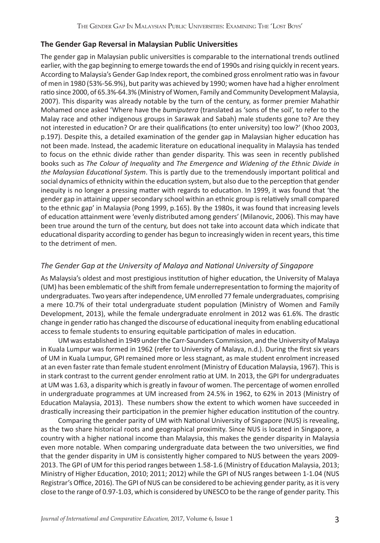#### **The Gender Gap Reversal in Malaysian Public Universities**

The gender gap in Malaysian public universities is comparable to the international trends outlined earlier, with the gap beginning to emerge towards the end of 1990s and rising quickly in recent years. According to Malaysia's Gender Gap Index report, the combined gross enrolment ratio was in favour of men in 1980 (53%-56.9%), but parity was achieved by 1990; women have had a higher enrolment ratio since 2000, of 65.3%-64.3% (Ministry of Women, Family and Community Development Malaysia, 2007). This disparity was already notable by the turn of the century, as former premier Mahathir Mohamed once asked 'Where have the *bumiputera* (translated as 'sons of the soil', to refer to the Malay race and other indigenous groups in Sarawak and Sabah) male students gone to? Are they not interested in education? Or are their qualifications (to enter university) too low?' (Khoo 2003, p.197). Despite this, a detailed examination of the gender gap in Malaysian higher education has not been made. Instead, the academic literature on educational inequality in Malaysia has tended to focus on the ethnic divide rather than gender disparity. This was seen in recently published books such as *The Colour of Inequality* and *The Emergence and Widening of the Ethnic Divide in the Malaysian Educational System*. This is partly due to the tremendously important political and social dynamics of ethnicity within the education system, but also due to the perception that gender inequity is no longer a pressing matter with regards to education. In 1999, it was found that 'the gender gap in attaining upper secondary school within an ethnic group is relatively small compared to the ethnic gap' in Malaysia (Pong 1999, p.165). By the 1980s, it was found that increasing levels of education attainment were 'evenly distributed among genders' (Milanovic, 2006). This may have been true around the turn of the century, but does not take into account data which indicate that educational disparity according to gender has begun to increasingly widen in recent years, this time to the detriment of men.

## *The Gender Gap at the University of Malaya and National University of Singapore*

As Malaysia's oldest and most prestigious institution of higher education, the University of Malaya (UM) has been emblematic of the shift from female underrepresentation to forming the majority of undergraduates. Two years after independence, UM enrolled 77 female undergraduates, comprising a mere 10.7% of their total undergraduate student population (Ministry of Women and Family Development, 2013), while the female undergraduate enrolment in 2012 was 61.6%. The drastic change in gender ratio has changed the discourse of educational inequity from enabling educational access to female students to ensuring equitable participation of males in education.

UM was established in 1949 under the Carr-Saunders Commission, and the University of Malaya in Kuala Lumpur was formed in 1962 (refer to University of Malaya, n.d.). During the first six years of UM in Kuala Lumpur, GPI remained more or less stagnant, as male student enrolment increased at an even faster rate than female student enrolment (Ministry of Education Malaysia, 1967). This is in stark contrast to the current gender enrolment ratio at UM. In 2013, the GPI for undergraduates at UM was 1.63, a disparity which is greatly in favour of women. The percentage of women enrolled in undergraduate programmes at UM increased from 24.5% in 1962, to 62% in 2013 (Ministry of Education Malaysia, 2013). These numbers show the extent to which women have succeeded in drastically increasing their participation in the premier higher education institution of the country.

Comparing the gender parity of UM with National University of Singapore (NUS) is revealing, as the two share historical roots and geographical proximity. Since NUS is located in Singapore, a country with a higher national income than Malaysia, this makes the gender disparity in Malaysia even more notable. When comparing undergraduate data between the two universities, we find that the gender disparity in UM is consistently higher compared to NUS between the years 2009- 2013. The GPI of UM for this period ranges between 1.58-1.6 (Ministry of Education Malaysia, 2013; Ministry of Higher Education, 2010; 2011; 2012) while the GPI of NUS ranges between 1-1.04 (NUS Registrar's Office, 2016). The GPI of NUS can be considered to be achieving gender parity, as it is very close to the range of 0.97-1.03, which is considered by UNESCO to be the range of gender parity. This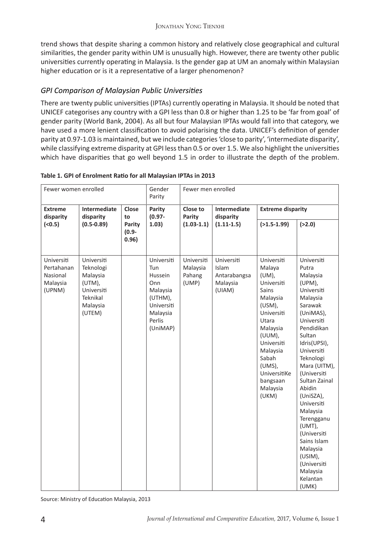trend shows that despite sharing a common history and relatively close geographical and cultural similarities, the gender parity within UM is unusually high. However, there are twenty other public universities currently operating in Malaysia. Is the gender gap at UM an anomaly within Malaysian higher education or is it a representative of a larger phenomenon?

# *GPI Comparison of Malaysian Public Universities*

There are twenty public universities (IPTAs) currently operating in Malaysia. It should be noted that UNICEF categorises any country with a GPI less than 0.8 or higher than 1.25 to be 'far from goal' of gender parity (World Bank, 2004). As all but four Malaysian IPTAs would fall into that category, we have used a more lenient classification to avoid polarising the data. UNICEF's definition of gender parity at 0.97-1.03 is maintained, but we include categories 'close to parity', 'intermediate disparity', while classifying extreme disparity at GPI less than 0.5 or over 1.5. We also highlight the universities which have disparities that go well beyond 1.5 in order to illustrate the depth of the problem.

| Fewer women enrolled                                       |                                                                                                  | Gender<br>Parity            | Fewer men enrolled                                                                                         |                                           |                                                           |                                                                                                                                                                                                                                    |                                                                                                                                                                                                                                                                                                                                                                                                            |
|------------------------------------------------------------|--------------------------------------------------------------------------------------------------|-----------------------------|------------------------------------------------------------------------------------------------------------|-------------------------------------------|-----------------------------------------------------------|------------------------------------------------------------------------------------------------------------------------------------------------------------------------------------------------------------------------------------|------------------------------------------------------------------------------------------------------------------------------------------------------------------------------------------------------------------------------------------------------------------------------------------------------------------------------------------------------------------------------------------------------------|
| <b>Extreme</b><br>disparity                                | <b>Intermediate</b><br>disparity                                                                 | Close<br>to                 | Parity<br>$(0.97 -$                                                                                        | Close to<br>Parity                        | <b>Intermediate</b><br>disparity                          | <b>Extreme disparity</b>                                                                                                                                                                                                           |                                                                                                                                                                                                                                                                                                                                                                                                            |
| (0.5)                                                      | $(0.5 - 0.89)$                                                                                   | Parity<br>$(0.9 -$<br>0.96) | 1.03)                                                                                                      | $(1.03-1.1)$                              | $(1.11-1.5)$                                              | $(>1.5-1.99)$                                                                                                                                                                                                                      | ( >2.0)                                                                                                                                                                                                                                                                                                                                                                                                    |
| Universiti<br>Pertahanan<br>Nasional<br>Malaysia<br>(UPNM) | Universiti<br>Teknologi<br>Malaysia<br>$(UTM)$ ,<br>Universiti<br>Teknikal<br>Malaysia<br>(UTEM) |                             | Universiti<br>Tun<br>Hussein<br>Onn<br>Malaysia<br>(UTHM),<br>Universiti<br>Malaysia<br>Perlis<br>(UniMAP) | Universiti<br>Malaysia<br>Pahang<br>(UMP) | Universiti<br>Islam<br>Antarabangsa<br>Malaysia<br>(UIAM) | Universiti<br>Malaya<br>$(UM)$ ,<br>Universiti<br><b>Sains</b><br>Malaysia<br>(USM),<br>Universiti<br>Utara<br>Malaysia<br>(UUM),<br>Universiti<br>Malaysia<br>Sabah<br>$(UMS)$ ,<br>UniversitiKe<br>bangsaan<br>Malaysia<br>(UKM) | Universiti<br>Putra<br>Malaysia<br>(UPM),<br>Universiti<br>Malaysia<br>Sarawak<br>(UniMAS),<br>Universiti<br>Pendidikan<br>Sultan<br>Idris(UPSI),<br>Universiti<br>Teknologi<br>Mara (UITM),<br>(Universiti<br>Sultan Zainal<br>Abidin<br>(UniSZA),<br>Universiti<br>Malaysia<br>Terengganu<br>(UMT),<br>(Universiti<br>Sains Islam<br>Malaysia<br>(USIM),<br>(Universiti<br>Malaysia<br>Kelantan<br>(UMK) |

## **Table 1. GPI of Enrolment Ratio for all Malaysian IPTAs in 2013**

Source: Ministry of Education Malaysia, 2013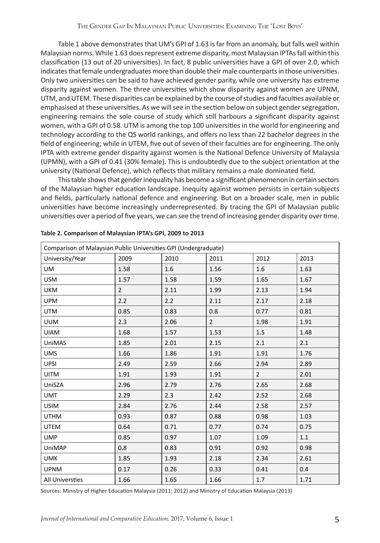Table 1 above demonstrates that UM's GPI of 1.63 is far from an anomaly, but falls well within Malaysian norms. While 1.63 does represent extreme disparity, most Malaysian IPTAs fall within this classification (13 out of 20 universities). In fact, 8 public universities have a GPI of over 2.0, which indicates that female undergraduates more than double their male counterparts in those universities. Only two universities can be said to have achieved gender parity, while one university has extreme disparity against women. The three universities which show disparity against women are UPNM, UTM, and UTEM. These disparities can be explained by the course of studies and faculties available or emphasised at these universities. As we will see in the section below on subject gender segregation, engineering remains the sole course of study which still harbours a significant disparity against women, with a GPI of 0.58. UTM is among the top 100 universities in the world for engineering and technology according to the QS world rankings, and offers no less than 22 bachelor degrees in the field of engineering; while in UTEM, five out of seven of their faculties are for engineering. The only IPTA with extreme gender disparity against women is the National Defence University of Malaysia (UPMN), with a GPI of 0.41 (30% female). This is undoubtedly due to the subject orientation at the university (National Defence), which reflects that military remains a male dominated field.

This table shows that gender inequality has become a significant phenomenon in certain sectors of the Malaysian higher education landscape. Inequity against women persists in certain subjects and fields, particularly national defence and engineering. But on a broader scale, men in public universities have become increasingly underrepresented. By tracing the GPI of Malaysian public universities over a period of five years, we can see the trend of increasing gender disparity over time.

| Comparison of Malaysian Public Universities GPI (Undergraduate) |                |      |                |                |      |  |
|-----------------------------------------------------------------|----------------|------|----------------|----------------|------|--|
| University/Year                                                 | 2009           | 2010 | 2011           | 2012           | 2013 |  |
| <b>UM</b>                                                       | 1.58           | 1.6  | 1.56           | 1.6            | 1.63 |  |
| <b>USM</b>                                                      | 1.57           | 1.58 | 1.59           | 1.65           | 1.67 |  |
| <b>UKM</b>                                                      | $\overline{2}$ | 2.11 | 1.99           | 2.13           | 1.94 |  |
| <b>UPM</b>                                                      | 2.2            | 2.2  | 2.11           | 2.17           | 2.18 |  |
| <b>UTM</b>                                                      | 0.85           | 0.83 | 0.8            | 0.77           | 0.81 |  |
| <b>UUM</b>                                                      | 2.3            | 2.06 | $\overline{2}$ | 1.98           | 1.91 |  |
| <b>UIAM</b>                                                     | 1.68           | 1.57 | 1.53           | 1.5            | 1.48 |  |
| UniMAS                                                          | 1.85           | 2.01 | 2.15           | 2.1            | 2.1  |  |
| <b>UMS</b>                                                      | 1.66           | 1.86 | 1.91           | 1.91           | 1.76 |  |
| <b>UPSI</b>                                                     | 2.49           | 2.59 | 2.66           | 2.94           | 2.89 |  |
| <b>UITM</b>                                                     | 1.91           | 1.93 | 1.91           | $\overline{2}$ | 2.01 |  |
| UniSZA                                                          | 2.96           | 2.79 | 2.76           | 2.65           | 2.68 |  |
| <b>UMT</b>                                                      | 2.29           | 2.3  | 2.42           | 2.52           | 2.68 |  |
| <b>USIM</b>                                                     | 2.84           | 2.76 | 2.44           | 2.58           | 2.57 |  |
| <b>UTHM</b>                                                     | 0.93           | 0.87 | 0.88           | 0.98           | 1.03 |  |
| <b>UTEM</b>                                                     | 0.64           | 0.71 | 0.77           | 0.74           | 0.75 |  |
| <b>UMP</b>                                                      | 0.85           | 0.97 | 1.07           | 1.09           | 1.1  |  |
| UniMAP                                                          | 0.8            | 0.83 | 0.91           | 0.92           | 0.98 |  |
| <b>UMK</b>                                                      | 1.85           | 1.93 | 2.18           | 2.34           | 2.61 |  |
| <b>UPNM</b>                                                     | 0.17           | 0.26 | 0.33           | 0.41           | 0.4  |  |
| <b>All Universties</b>                                          | 1.66           | 1.65 | 1.66           | 1.7            | 1.71 |  |

|  |  | Table 2. Comparison of Malaysian IPTA's GPI, 2009 to 2013 |
|--|--|-----------------------------------------------------------|
|  |  |                                                           |

Sources: Ministry of Higher Education Malaysia (2011; 2012) and Ministry of Education Malaysia (2013)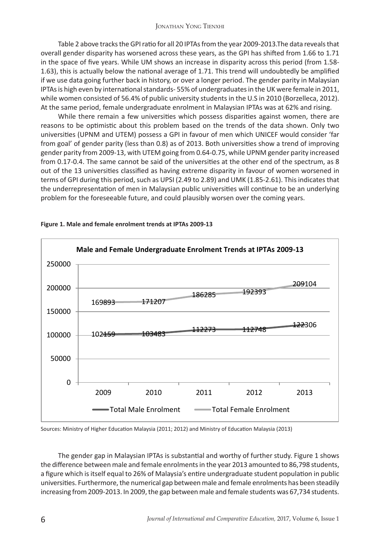Table 2 above tracks the GPI ratio for all 20 IPTAs from the year 2009-2013.The data reveals that overall gender disparity has worsened across these years, as the GPI has shifted from 1.66 to 1.71 in the space of five years. While UM shows an increase in disparity across this period (from 1.58- 1.63), this is actually below the national average of 1.71. This trend will undoubtedly be amplified if we use data going further back in history, or over a longer period. The gender parity in Malaysian IPTAs is high even by international standards- 55% of undergraduates in the UK were female in 2011, while women consisted of 56.4% of public university students in the U.S in 2010 (Borzelleca, 2012). At the same period, female undergraduate enrolment in Malaysian IPTAs was at 62% and rising.

While there remain a few universities which possess disparities against women, there are reasons to be optimistic about this problem based on the trends of the data shown. Only two universities (UPNM and UTEM) possess a GPI in favour of men which UNICEF would consider 'far from goal' of gender parity (less than 0.8) as of 2013. Both universities show a trend of improving gender parity from 2009-13, with UTEM going from 0.64-0.75, while UPNM gender parity increased from 0.17-0.4. The same cannot be said of the universities at the other end of the spectrum, as 8 out of the 13 universities classified as having extreme disparity in favour of women worsened in terms of GPI during this period, such as UPSI (2.49 to 2.89) and UMK (1.85-2.61). This indicates that the underrepresentation of men in Malaysian public universities will continue to be an underlying problem for the foreseeable future, and could plausibly worsen over the coming years.



#### **Figure 1. Male and female enrolment trends at IPTAs 2009-13**

Sources: Ministry of Higher Education Malaysia (2011; 2012) and Ministry of Education Malaysia (2013)

The gender gap in Malaysian IPTAs is substantial and worthy of further study. Figure 1 shows the difference between male and female enrolments in the year 2013 amounted to 86,798 students, a figure which is itself equal to 26% of Malaysia's entire undergraduate student population in public universities. Furthermore, the numerical gap between male and female enrolments has been steadily increasing from 2009-2013. In 2009, the gap between male and female students was 67,734 students.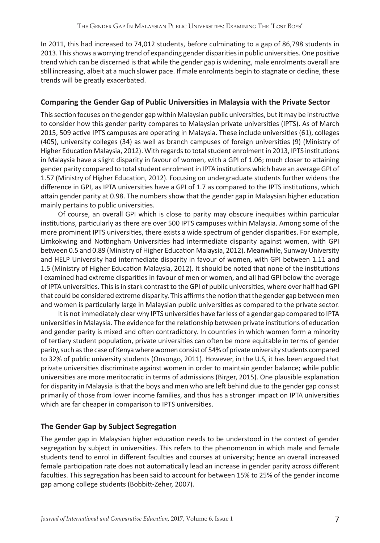In 2011, this had increased to 74,012 students, before culminating to a gap of 86,798 students in 2013. This shows a worrying trend of expanding gender disparities in public universities. One positive trend which can be discerned is that while the gender gap is widening, male enrolments overall are still increasing, albeit at a much slower pace. If male enrolments begin to stagnate or decline, these trends will be greatly exacerbated.

## **Comparing the Gender Gap of Public Universities in Malaysia with the Private Sector**

This section focuses on the gender gap within Malaysian public universities, but it may be instructive to consider how this gender parity compares to Malaysian private universities (IPTS). As of March 2015, 509 active IPTS campuses are operating in Malaysia. These include universities (61), colleges (405), university colleges (34) as well as branch campuses of foreign universities (9) (Ministry of Higher Education Malaysia, 2012). With regards to total student enrolment in 2013, IPTS institutions in Malaysia have a slight disparity in favour of women, with a GPI of 1.06; much closer to attaining gender parity compared to total student enrolment in IPTA institutions which have an average GPI of 1.57 (Ministry of Higher Education, 2012). Focusing on undergraduate students further widens the difference in GPI, as IPTA universities have a GPI of 1.7 as compared to the IPTS institutions, which attain gender parity at 0.98. The numbers show that the gender gap in Malaysian higher education mainly pertains to public universities.

Of course, an overall GPI which is close to parity may obscure inequities within particular institutions, particularly as there are over 500 IPTS campuses within Malaysia. Among some of the more prominent IPTS universities, there exists a wide spectrum of gender disparities. For example, Limkokwing and Nottingham Universities had intermediate disparity against women, with GPI between 0.5 and 0.89 (Ministry of Higher Education Malaysia, 2012). Meanwhile, Sunway University and HELP University had intermediate disparity in favour of women, with GPI between 1.11 and 1.5 (Ministry of Higher Education Malaysia, 2012). It should be noted that none of the institutions I examined had extreme disparities in favour of men or women, and all had GPI below the average of IPTA universities. This is in stark contrast to the GPI of public universities, where over half had GPI that could be considered extreme disparity. This affirms the notion that the gender gap between men and women is particularly large in Malaysian public universities as compared to the private sector.

It is not immediately clear why IPTS universities have far less of a gender gap compared to IPTA universities in Malaysia. The evidence for the relationship between private institutions of education and gender parity is mixed and often contradictory. In countries in which women form a minority of tertiary student population, private universities can often be more equitable in terms of gender parity, such as the case of Kenya where women consist of 54% of private university students compared to 32% of public university students (Onsongo, 2011). However, in the U.S, it has been argued that private universities discriminate against women in order to maintain gender balance; while public universities are more meritocratic in terms of admissions (Birger, 2015). One plausible explanation for disparity in Malaysia is that the boys and men who are left behind due to the gender gap consist primarily of those from lower income families, and thus has a stronger impact on IPTA universities which are far cheaper in comparison to IPTS universities.

## **The Gender Gap by Subject Segregation**

The gender gap in Malaysian higher education needs to be understood in the context of gender segregation by subject in universities. This refers to the phenomenon in which male and female students tend to enrol in different faculties and courses at university; hence an overall increased female participation rate does not automatically lead an increase in gender parity across different faculties. This segregation has been said to account for between 15% to 25% of the gender income gap among college students (Bobbitt-Zeher, 2007).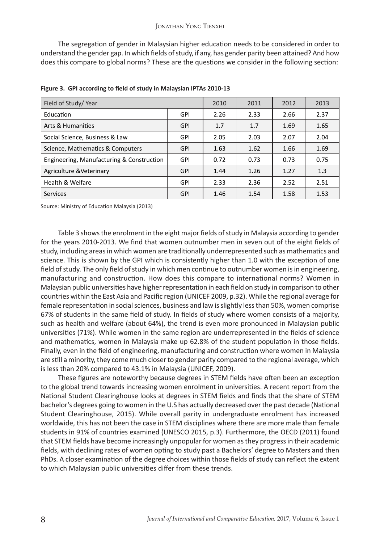The segregation of gender in Malaysian higher education needs to be considered in order to understand the gender gap. In which fields of study, if any, has gender parity been attained? And how does this compare to global norms? These are the questions we consider in the following section:

| Field of Study/Year                       | 2010       | 2011 | 2012 | 2013 |      |
|-------------------------------------------|------------|------|------|------|------|
| Education                                 | GPI        | 2.26 | 2.33 | 2.66 | 2.37 |
| Arts & Humanities                         | GPI        | 1.7  | 1.7  | 1.69 | 1.65 |
| Social Science, Business & Law            | <b>GPI</b> | 2.05 | 2.03 | 2.07 | 2.04 |
| Science, Mathematics & Computers          | <b>GPI</b> | 1.63 | 1.62 | 1.66 | 1.69 |
| Engineering, Manufacturing & Construction | GPI        | 0.72 | 0.73 | 0.73 | 0.75 |
| Agriculture & Veterinary                  | GPI        | 1.44 | 1.26 | 1.27 | 1.3  |
| Health & Welfare                          | GPI        | 2.33 | 2.36 | 2.52 | 2.51 |
| <b>Services</b>                           | <b>GPI</b> | 1.46 | 1.54 | 1.58 | 1.53 |

**Figure 3. GPI according to field of study in Malaysian IPTAs 2010-13**

Source: Ministry of Education Malaysia (2013)

Table 3 shows the enrolment in the eight major fields of study in Malaysia according to gender for the years 2010-2013. We find that women outnumber men in seven out of the eight fields of study, including areas in which women are traditionally underrepresented such as mathematics and science. This is shown by the GPI which is consistently higher than 1.0 with the exception of one field of study. The only field of study in which men continue to outnumber women is in engineering, manufacturing and construction. How does this compare to international norms? Women in Malaysian public universities have higher representation in each field on study in comparison to other countries within the East Asia and Pacific region (UNICEF 2009, p.32). While the regional average for female representation in social sciences, business and law is slightly less than 50%, women comprise 67% of students in the same field of study. In fields of study where women consists of a majority, such as health and welfare (about 64%), the trend is even more pronounced in Malaysian public universities (71%). While women in the same region are underrepresented in the fields of science and mathematics, women in Malaysia make up 62.8% of the student population in those fields. Finally, even in the field of engineering, manufacturing and construction where women in Malaysia are still a minority, they come much closer to gender parity compared to the regional average, which is less than 20% compared to 43.1% in Malaysia (UNICEF, 2009).

These figures are noteworthy because degrees in STEM fields have often been an exception to the global trend towards increasing women enrolment in universities. A recent report from the National Student Clearinghouse looks at degrees in STEM fields and finds that the share of STEM bachelor's degrees going to women in the U.S has actually decreased over the past decade (National Student Clearinghouse, 2015). While overall parity in undergraduate enrolment has increased worldwide, this has not been the case in STEM disciplines where there are more male than female students in 91% of countries examined (UNESCO 2015, p.3). Furthermore, the OECD (2011) found that STEM fields have become increasingly unpopular for women as they progress in their academic fields, with declining rates of women opting to study past a Bachelors' degree to Masters and then PhDs. A closer examination of the degree choices within those fields of study can reflect the extent to which Malaysian public universities differ from these trends.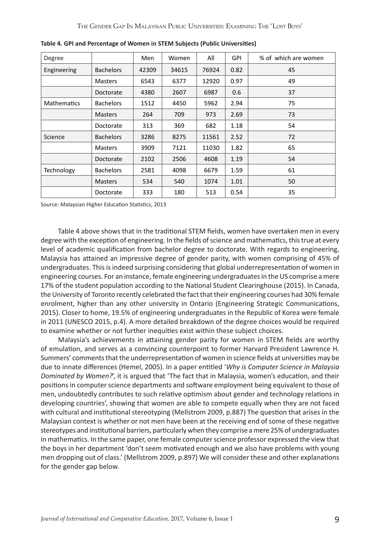| Degree             |                  | Men   | Women | All   | <b>GPI</b> | % of which are women |
|--------------------|------------------|-------|-------|-------|------------|----------------------|
| Engineering        | <b>Bachelors</b> | 42309 | 34615 | 76924 | 0.82       | 45                   |
|                    | <b>Masters</b>   | 6543  | 6377  | 12920 | 0.97       | 49                   |
|                    | Doctorate        | 4380  | 2607  | 6987  | 0.6        | 37                   |
| <b>Mathematics</b> | <b>Bachelors</b> | 1512  | 4450  | 5962  | 2.94       | 75                   |
|                    | <b>Masters</b>   | 264   | 709   | 973   | 2.69       | 73                   |
|                    | Doctorate        | 313   | 369   | 682   | 1.18       | 54                   |
| Science            | <b>Bachelors</b> | 3286  | 8275  | 11561 | 2.52       | 72                   |
|                    | <b>Masters</b>   | 3909  | 7121  | 11030 | 1.82       | 65                   |
|                    | Doctorate        | 2102  | 2506  | 4608  | 1.19       | 54                   |
| Technology         | <b>Bachelors</b> | 2581  | 4098  | 6679  | 1.59       | 61                   |
|                    | <b>Masters</b>   | 534   | 540   | 1074  | 1.01       | 50                   |
|                    | Doctorate        | 333   | 180   | 513   | 0.54       | 35                   |

**Table 4. GPI and Percentage of Women in STEM Subjects (Public Universities)**

Source: Malaysian Higher Education Statistics, 2013

Table 4 above shows that in the traditional STEM fields, women have overtaken men in every degree with the exception of engineering. In the fields of science and mathematics, this true at every level of academic qualification from bachelor degree to doctorate. With regards to engineering, Malaysia has attained an impressive degree of gender parity, with women comprising of 45% of undergraduates. This is indeed surprising considering that global underrepresentation of women in engineering courses. For an instance, female engineering undergraduates in the US comprise a mere 17% of the student population according to the National Student Clearinghouse (2015). In Canada, the University of Toronto recently celebrated the fact that their engineering courses had 30% female enrolment, higher than any other university in Ontario (Engineering Strategic Communications, 2015). Closer to home, 19.5% of engineering undergraduates in the Republic of Korea were female in 2011 (UNESCO 2015, p.4). A more detailed breakdown of the degree choices would be required to examine whether or not further inequities exist within these subject choices.

Malaysia's achievements in attaining gender parity for women in STEM fields are worthy of emulation, and serves as a convincing counterpoint to former Harvard President Lawrence H. Summers' comments that the underrepresentation of women in science fields at universities may be due to innate differences (Hemel, 2005). In a paper entitled '*Why is Computer Science in Malaysia Dominated by Women?*', it is argued that 'The fact that in Malaysia, women's education, and their positions in computer science departments and software employment being equivalent to those of men, undoubtedly contributes to such relative optimism about gender and technology relations in developing countries', showing that women are able to compete equally when they are not faced with cultural and institutional stereotyping (Mellstrom 2009, p.887) The question that arises in the Malaysian context is whether or not men have been at the receiving end of some of these negative stereotypes and institutional barriers, particularly when they comprise a mere 25% of undergraduates in mathematics. In the same paper, one female computer science professor expressed the view that the boys in her department 'don't seem motivated enough and we also have problems with young men dropping out of class.' (Mellstrom 2009, p.897) We will consider these and other explanations for the gender gap below.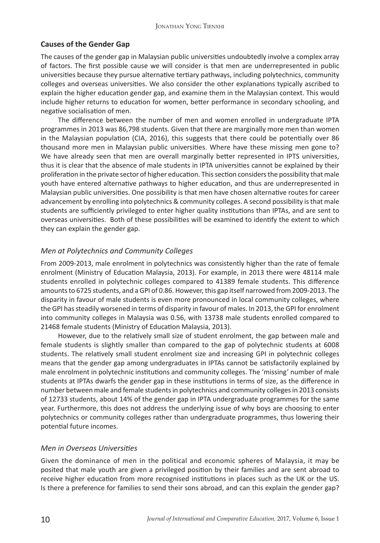## **Causes of the Gender Gap**

The causes of the gender gap in Malaysian public universities undoubtedly involve a complex array of factors. The first possible cause we will consider is that men are underrepresented in public universities because they pursue alternative tertiary pathways, including polytechnics, community colleges and overseas universities. We also consider the other explanations typically ascribed to explain the higher education gender gap, and examine them in the Malaysian context. This would include higher returns to education for women, better performance in secondary schooling, and negative socialisation of men.

The difference between the number of men and women enrolled in undergraduate IPTA programmes in 2013 was 86,798 students. Given that there are marginally more men than women in the Malaysian population (CIA, 2016), this suggests that there could be potentially over 86 thousand more men in Malaysian public universities. Where have these missing men gone to? We have already seen that men are overall marginally better represented in IPTS universities, thus it is clear that the absence of male students in IPTA universities cannot be explained by their proliferation in the private sector of higher education. This section considers the possibility that male youth have entered alternative pathways to higher education, and thus are underrepresented in Malaysian public universities. One possibility is that men have chosen alternative routes for career advancement by enrolling into polytechnics & community colleges. A second possibility is that male students are sufficiently privileged to enter higher quality institutions than IPTAs, and are sent to overseas universities. Both of these possibilities will be examined to identify the extent to which they can explain the gender gap.

## *Men at Polytechnics and Community Colleges*

From 2009-2013, male enrolment in polytechnics was consistently higher than the rate of female enrolment (Ministry of Education Malaysia, 2013). For example, in 2013 there were 48114 male students enrolled in polytechnic colleges compared to 41389 female students. This difference amounts to 6725 students, and a GPI of 0.86. However, this gap itself narrowed from 2009-2013. The disparity in favour of male students is even more pronounced in local community colleges, where the GPI has steadily worsened in terms of disparity in favour of males. In 2013, the GPI for enrolment into community colleges in Malaysia was 0.56, with 13738 male students enrolled compared to 21468 female students (Ministry of Education Malaysia, 2013).

However, due to the relatively small size of student enrolment, the gap between male and female students is slightly smaller than compared to the gap of polytechnic students at 6008 students. The relatively small student enrolment size and increasing GPI in polytechnic colleges means that the gender gap among undergraduates in IPTAs cannot be satisfactorily explained by male enrolment in polytechnic institutions and community colleges. The 'missing' number of male students at IPTAs dwarfs the gender gap in these institutions in terms of size, as the difference in number between male and female students in polytechnics and community colleges in 2013 consists of 12733 students, about 14% of the gender gap in IPTA undergraduate programmes for the same year. Furthermore, this does not address the underlying issue of why boys are choosing to enter polytechnics or community colleges rather than undergraduate programmes, thus lowering their potential future incomes.

## *Men in Overseas Universities*

Given the dominance of men in the political and economic spheres of Malaysia, it may be posited that male youth are given a privileged position by their families and are sent abroad to receive higher education from more recognised institutions in places such as the UK or the US. Is there a preference for families to send their sons abroad, and can this explain the gender gap?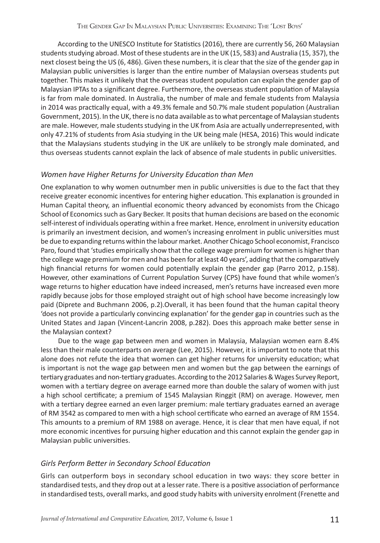According to the UNESCO Institute for Statistics (2016), there are currently 56, 260 Malaysian students studying abroad. Most of these students are in the UK (15, 583) and Australia (15, 357), the next closest being the US (6, 486). Given these numbers, it is clear that the size of the gender gap in Malaysian public universities is larger than the entire number of Malaysian overseas students put together. This makes it unlikely that the overseas student population can explain the gender gap of Malaysian IPTAs to a significant degree. Furthermore, the overseas student population of Malaysia is far from male dominated. In Australia, the number of male and female students from Malaysia in 2014 was practically equal, with a 49.3% female and 50.7% male student population (Australian Government, 2015). In the UK, there is no data available as to what percentage of Malaysian students are male. However, male students studying in the UK from Asia are actually underrepresented, with only 47.21% of students from Asia studying in the UK being male (HESA, 2016) This would indicate that the Malaysians students studying in the UK are unlikely to be strongly male dominated, and thus overseas students cannot explain the lack of absence of male students in public universities.

## *Women have Higher Returns for University Education than Men*

One explanation to why women outnumber men in public universities is due to the fact that they receive greater economic incentives for entering higher education. This explanation is grounded in Human Capital theory, an influential economic theory advanced by economists from the Chicago School of Economics such as Gary Becker. It posits that human decisions are based on the economic self-interest of individuals operating within a free market. Hence, enrolment in university education is primarily an investment decision, and women's increasing enrolment in public universities must be due to expanding returns within the labour market. Another Chicago School economist, Francisco Paro, found that 'studies empirically show that the college wage premium for women is higher than the college wage premium for men and has been for at least 40 years', adding that the comparatively high financial returns for women could potentially explain the gender gap (Parro 2012, p.158). However, other examinations of Current Population Survey (CPS) have found that while women's wage returns to higher education have indeed increased, men's returns have increased even more rapidly because jobs for those employed straight out of high school have become increasingly low paid (Diprete and Buchmann 2006, p.2).Overall, it has been found that the human capital theory 'does not provide a particularly convincing explanation' for the gender gap in countries such as the United States and Japan (Vincent-Lancrin 2008, p.282). Does this approach make better sense in the Malaysian context?

Due to the wage gap between men and women in Malaysia, Malaysian women earn 8.4% less than their male counterparts on average (Lee, 2015). However, it is important to note that this alone does not refute the idea that women can get higher returns for university education; what is important is not the wage gap between men and women but the gap between the earnings of tertiary graduates and non-tertiary graduates. According to the 2012 Salaries & Wages Survey Report, women with a tertiary degree on average earned more than double the salary of women with just a high school certificate; a premium of 1545 Malaysian Ringgit (RM) on average. However, men with a tertiary degree earned an even larger premium: male tertiary graduates earned an average of RM 3542 as compared to men with a high school certificate who earned an average of RM 1554. This amounts to a premium of RM 1988 on average. Hence, it is clear that men have equal, if not more economic incentives for pursuing higher education and this cannot explain the gender gap in Malaysian public universities.

## *Girls Perform Better in Secondary School Education*

Girls can outperform boys in secondary school education in two ways: they score better in standardised tests, and they drop out at a lesser rate. There is a positive association of performance in standardised tests, overall marks, and good study habits with university enrolment (Frenette and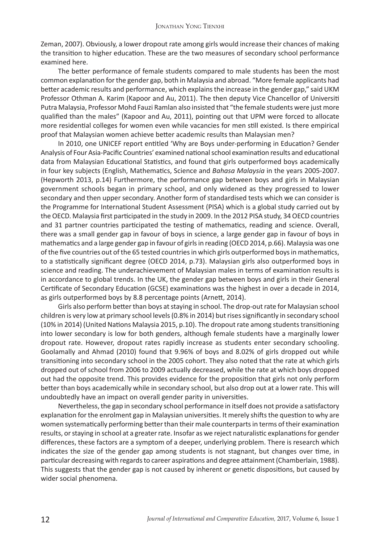Zeman, 2007). Obviously, a lower dropout rate among girls would increase their chances of making the transition to higher education. These are the two measures of secondary school performance examined here.

The better performance of female students compared to male students has been the most common explanation for the gender gap, both in Malaysia and abroad. "More female applicants had better academic results and performance, which explains the increase in the gender gap," said UKM Professor Othman A. Karim (Kapoor and Au, 2011). The then deputy Vice Chancellor of Universiti Putra Malaysia, Professor Mohd Fauzi Ramlan also insisted that "the female students were just more qualified than the males" (Kapoor and Au, 2011), pointing out that UPM were forced to allocate more residential colleges for women even while vacancies for men still existed. Is there empirical proof that Malaysian women achieve better academic results than Malaysian men?

In 2010, one UNICEF report entitled 'Why are Boys under-performing in Education? Gender Analysis of Four Asia-Pacific Countries' examined national school examination results and educational data from Malaysian Educational Statistics, and found that girls outperformed boys academically in four key subjects (English, Mathematics, Science and *Bahasa Malaysia* in the years 2005-2007. (Hepworth 2013, p.14) Furthermore, the performance gap between boys and girls in Malaysian government schools began in primary school, and only widened as they progressed to lower secondary and then upper secondary. Another form of standardised tests which we can consider is the Programme for International Student Assessment (PISA) which is a global study carried out by the OECD. Malaysia first participated in the study in 2009. In the 2012 PISA study, 34 OECD countries and 31 partner countries participated the testing of mathematics, reading and science. Overall, there was a small gender gap in favour of boys in science, a large gender gap in favour of boys in mathematics and a large gender gap in favour of girls in reading (OECD 2014, p.66). Malaysia was one of the five countries out of the 65 tested countries in which girls outperformed boys in mathematics, to a statistically significant degree (OECD 2014, p.73). Malaysian girls also outperformed boys in science and reading. The underachievement of Malaysian males in terms of examination results is in accordance to global trends. In the UK, the gender gap between boys and girls in their General Certificate of Secondary Education (GCSE) examinations was the highest in over a decade in 2014, as girls outperformed boys by 8.8 percentage points (Arnett, 2014).

Girls also perform better than boys at staying in school. The drop-out rate for Malaysian school children is very low at primary school levels (0.8% in 2014) but rises significantly in secondary school (10% in 2014) (United Nations Malaysia 2015, p.10). The dropout rate among students transitioning into lower secondary is low for both genders, although female students have a marginally lower dropout rate. However, dropout rates rapidly increase as students enter secondary schooling. Goolamally and Ahmad (2010) found that 9.96% of boys and 8.02% of girls dropped out while transitioning into secondary school in the 2005 cohort. They also noted that the rate at which girls dropped out of school from 2006 to 2009 actually decreased, while the rate at which boys dropped out had the opposite trend. This provides evidence for the proposition that girls not only perform better than boys academically while in secondary school, but also drop out at a lower rate. This will undoubtedly have an impact on overall gender parity in universities.

Nevertheless, the gap in secondary school performance in itself does not provide a satisfactory explanation for the enrolment gap in Malaysian universities. It merely shifts the question to why are women systematically performing better than their male counterparts in terms of their examination results, or staying in school at a greater rate. Insofar as we reject naturalistic explanations for gender differences, these factors are a symptom of a deeper, underlying problem. There is research which indicates the size of the gender gap among students is not stagnant, but changes over time, in particular decreasing with regards to career aspirations and degree attainment (Chamberlain, 1988). This suggests that the gender gap is not caused by inherent or genetic dispositions, but caused by wider social phenomena.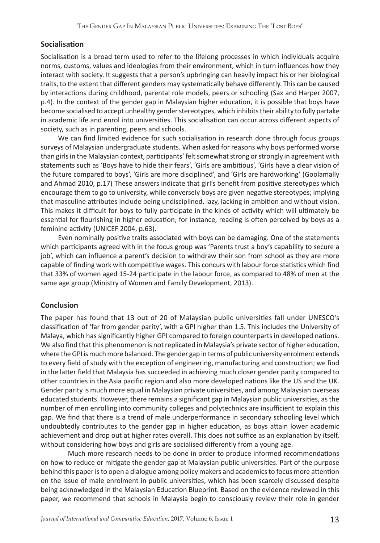## **Socialisation**

Socialisation is a broad term used to refer to the lifelong processes in which individuals acquire norms, customs, values and ideologies from their environment, which in turn influences how they interact with society. It suggests that a person's upbringing can heavily impact his or her biological traits, to the extent that different genders may systematically behave differently. This can be caused by interactions during childhood, parental role models, peers or schooling (Sax and Harper 2007, p.4). In the context of the gender gap in Malaysian higher education, it is possible that boys have become socialised to accept unhealthy gender stereotypes, which inhibits their ability to fully partake in academic life and enrol into universities. This socialisation can occur across different aspects of society, such as in parenting, peers and schools.

We can find limited evidence for such socialisation in research done through focus groups surveys of Malaysian undergraduate students. When asked for reasons why boys performed worse than girls in the Malaysian context, participants' felt somewhat strong or strongly in agreement with statements such as 'Boys have to hide their fears', 'Girls are ambitious', 'Girls have a clear vision of the future compared to boys', 'Girls are more disciplined', and 'Girls are hardworking' (Goolamally and Ahmad 2010, p.17) These answers indicate that girl's benefit from positive stereotypes which encourage them to go to university, while conversely boys are given negative stereotypes; implying that masculine attributes include being undisciplined, lazy, lacking in ambition and without vision. This makes it difficult for boys to fully participate in the kinds of activity which will ultimately be essential for flourishing in higher education; for instance, reading is often perceived by boys as a feminine activity (UNICEF 2004, p.63).

Even nominally positive traits associated with boys can be damaging. One of the statements which participants agreed with in the focus group was 'Parents trust a boy's capability to secure a job', which can influence a parent's decision to withdraw their son from school as they are more capable of finding work with competitive wages. This concurs with labour force statistics which find that 33% of women aged 15-24 participate in the labour force, as compared to 48% of men at the same age group (Ministry of Women and Family Development, 2013).

## **Conclusion**

The paper has found that 13 out of 20 of Malaysian public universities fall under UNESCO's classification of 'far from gender parity', with a GPI higher than 1.5. This includes the University of Malaya, which has significantly higher GPI compared to foreign counterparts in developed nations. We also find that this phenomenon is not replicated in Malaysia's private sector of higher education, where the GPI is much more balanced. The gender gap in terms of public university enrolment extends to every field of study with the exception of engineering, manufacturing and construction; we find in the latter field that Malaysia has succeeded in achieving much closer gender parity compared to other countries in the Asia pacific region and also more developed nations like the US and the UK. Gender parity is much more equal in Malaysian private universities, and among Malaysian overseas educated students. However, there remains a significant gap in Malaysian public universities, as the number of men enrolling into community colleges and polytechnics are insufficient to explain this gap. We find that there is a trend of male underperformance in secondary schooling level which undoubtedly contributes to the gender gap in higher education, as boys attain lower academic achievement and drop out at higher rates overall. This does not suffice as an explanation by itself, without considering how boys and girls are socialised differently from a young age.

Much more research needs to be done in order to produce informed recommendations on how to reduce or mitigate the gender gap at Malaysian public universities. Part of the purpose behind this paper is to open a dialogue among policy makers and academics to focus more attention on the issue of male enrolment in public universities, which has been scarcely discussed despite being acknowledged in the Malaysian Education Blueprint. Based on the evidence reviewed in this paper, we recommend that schools in Malaysia begin to consciously review their role in gender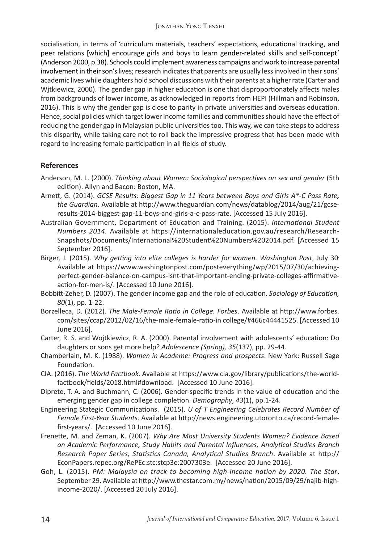socialisation, in terms of 'curriculum materials, teachers' expectations, educational tracking, and peer relations [which] encourage girls and boys to learn gender-related skills and self-concept' (Anderson 2000, p.38). Schools could implement awareness campaigns and work to increase parental involvement in their son's lives; research indicates that parents are usually less involved in their sons' academic lives while daughters hold school discussions with their parents at a higher rate (Carter and Wjtkiewicz, 2000). The gender gap in higher education is one that disproportionately affects males from backgrounds of lower income, as acknowledged in reports from HEPI (Hillman and Robinson, 2016). This is why the gender gap is close to parity in private universities and overseas education. Hence, social policies which target lower income families and communities should have the effect of reducing the gender gap in Malaysian public universities too. This way, we can take steps to address this disparity, while taking care not to roll back the impressive progress that has been made with regard to increasing female participation in all fields of study.

## **References**

- Anderson, M. L. (2000). *Thinking about Women: Sociological perspectives on sex and gender* (5th edition). Allyn and Bacon: Boston, MA.
- Arnett, G. (2014). *GCSE Results: Biggest Gap in 11 Years between Boys and Girls A\*-C Pass Rate, the Guardian*. Available at http://www.theguardian.com/news/datablog/2014/aug/21/gcseresults-2014-biggest-gap-11-boys-and-girls-a-c-pass-rate. [Accessed 15 July 2016].
- Australian Government, Department of Education and Training. (2015). *International Student Numbers 2014.* Available at https://internationaleducation.gov.au/research/Research-Snapshots/Documents/International%20Student%20Numbers%202014.pdf. [Accessed 15 September 2016].
- Birger, J. (2015). *Why getting into elite colleges is harder for women. Washington Post*, July 30. Available at https://www.washingtonpost.com/posteverything/wp/2015/07/30/achievingperfect-gender-balance-on-campus-isnt-that-important-ending-private-colleges-affirmativeaction-for-men-is/. [Accessed 10 June 2016].
- Bobbitt-Zeher, D. (2007). The gender income gap and the role of education. *Sociology of Education, 80*(1), pp. 1-22.
- Borzelleca, D. (2012). *The Male-Female Ratio in College. Forbes*. Available at http://www.forbes. com/sites/ccap/2012/02/16/the-male-female-ratio-in college/#466c44441525. [Accessed 10 June 2016].
- Carter, R. S. and Wojtkiewicz, R. A. (2000). Parental involvement with adolescents' education: Do daughters or sons get more help? *Adolescence (Spring), 35*(137), pp. 29-44.
- Chamberlain, M. K. (1988). *Women in Academe: Progress and prospects*. New York: Russell Sage Foundation.
- CIA. (2016). *The World Factbook.* Available at https://www.cia.gov/library/publications/the-worldfactbook/fields/2018.html#download. [Accessed 10 June 2016].
- Diprete, T. A. and Buchmann, C. (2006). Gender-specific trends in the value of education and the emerging gender gap in college completion. *Demography*, *43*(1), pp.1-24.
- Engineering Stategic Communications. (2015). *U of T Engineering Celebrates Record Number of Female First-Year Students*. Available at http://news.engineering.utoronto.ca/record-femalefirst-years/. [Accessed 10 June 2016].
- Frenette, M. and Zeman, K. (2007). *Why Are Most University Students Women? Evidence Based on Academic Performance, Study Habits and Parental Influences, Analytical Studies Branch Research Paper Series, Statistics Canada, Analytical Studies Branch*. Available at http:// EconPapers.repec.org/RePEc:stc:stcp3e:2007303e. [Accessed 20 June 2016].
- Goh, L. (2015). *PM: Malaysia on track to becoming high-income nation by 2020. The Star*, September 29. Available at http://www.thestar.com.my/news/nation/2015/09/29/najib-highincome-2020/. [Accessed 20 July 2016].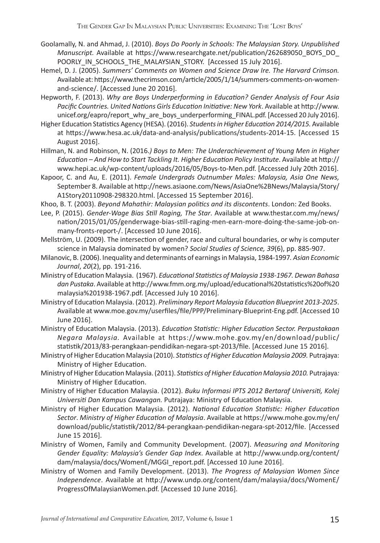- Goolamally, N. and Ahmad, J. (2010). *Boys Do Poorly in Schools: The Malaysian Story. Unpublished Manuscript.* Available at https://www.researchgate.net/publication/262689050\_BOYS\_DO\_ POORLY\_IN\_SCHOOLS\_THE\_MALAYSIAN\_STORY. [Accessed 15 July 2016].
- Hemel, D. J. (2005). *Summers' Comments on Women and Science Draw Ire. The Harvard Crimson.* Available at: https://www.thecrimson.com/article/2005/1/14/summers-comments-on-womenand-science/. [Accessed June 20 2016].
- Hepworth, F. (2013). *Why are Boys Underperforming in Education? Gender Analysis of Four Asia Pacific Countries. United Nations Girls Education Initiative: New York*. Available at http://www. unicef.org/eapro/report\_why\_are\_boys\_underperforming\_FINAL.pdf. [Accessed 20 July 2016].
- Higher Education Statistics Agency (HESA). (2016). *Students in Higher Education 2014/2015.* Available at https://www.hesa.ac.uk/data-and-analysis/publications/students-2014-15. [Accessed 15 August 2016].
- Hillman, N. and Robinson, N. (2016.*) Boys to Men: The Underachievement of Young Men in Higher Education – And How to Start Tackling It. Higher Education Policy Institute*. Available at http:// www.hepi.ac.uk/wp-content/uploads/2016/05/Boys-to-Men.pdf. [Accessed July 20th 2016].
- Kapoor, C. and Au, E. (2011). *Female Undergrads Outnumber Males: Malaysia, Asia One News,* September 8. Available at http://news.asiaone.com/News/AsiaOne%2BNews/Malaysia/Story/ A1Story20110908-298320.html. [Accessed 15 September 2016].
- Khoo, B. T. (2003). *Beyond Mahathir: Malaysian politics and its discontents*. London: Zed Books.
- Lee, P. (2015). *Gender-Wage Bias Still Raging, The Star*. Available at www.thestar.com.my/news/ nation/2015/01/05/genderwage-bias-still-raging-men-earn-more-doing-the-same-job-onmany-fronts-report-/. [Accessed 10 June 2016].
- Mellström, U. (2009). The intersection of gender, race and cultural boundaries, or why is computer science in Malaysia dominated by women? *Social Studies of Science, 39*(6), pp. 885-907.
- Milanovic, B. (2006). Inequality and determinants of earnings in Malaysia, 1984-1997*. Asian Economic Journal*, *20*(2), pp. 191-216.
- Ministry of Education Malaysia. (1967). *Educational Statistics of Malaysia 1938-1967. Dewan Bahasa dan Pustaka*. Available at http://www.fmm.org.my/upload/educational%20statistics%20of%20 malaysia%201938-1967.pdf. [Accessed July 10 2016].
- Ministry of Education Malaysia. (2012). *Preliminary Report Malaysia Education Blueprint 2013-2025*. Available at www.moe.gov.my/userfiles/file/PPP/Preliminary-Blueprint-Eng.pdf. [Accessed 10 June 2016].
- Ministry of Education Malaysia. (2013). *Education Statistic: Higher Education Sector. Perpustakaan Negara Malaysia.* Available at https://www.mohe.gov.my/en/download/public/ statistik/2013/83-perangkaan-pendidikan-negara-spt-2013/file. [Accessed June 15 2016].
- Ministry of Higher Education Malaysia (2010). *Statistics of Higher Education Malaysia 2009.* Putrajaya: Ministry of Higher Education.
- Ministry of Higher Education Malaysia. (2011). *Statistics of Higher Education Malaysia 2010.* Putrajaya*:*  Ministry of Higher Education.
- Ministry of Higher Education Malaysia. (2012). *Buku Informasi IPTS 2012 Bertaraf Universiti, Kolej Universiti Dan Kampus Cawangan.* Putrajaya: Ministry of Education Malaysia.
- Ministry of Higher Education Malaysia. (2012). *National Education Statistic: Higher Education Sector*. *Ministry of Higher Education of Malaysia*. Available at https://www.mohe.gov.my/en/ download/public/statistik/2012/84-perangkaan-pendidikan-negara-spt-2012/file. [Accessed June 15 2016].
- Ministry of Women, Family and Community Development. (2007). *Measuring and Monitoring Gender Equality: Malaysia's Gender Gap Index*. Available at http://www.undp.org/content/ dam/malaysia/docs/WomenE/MGGI\_report.pdf. [Accessed 10 June 2016].
- Ministry of Women and Family Development. (2013). *The Progress of Malaysian Women Since Independence*. Available at http://www.undp.org/content/dam/malaysia/docs/WomenE/ ProgressOfMalaysianWomen.pdf. [Accessed 10 June 2016].